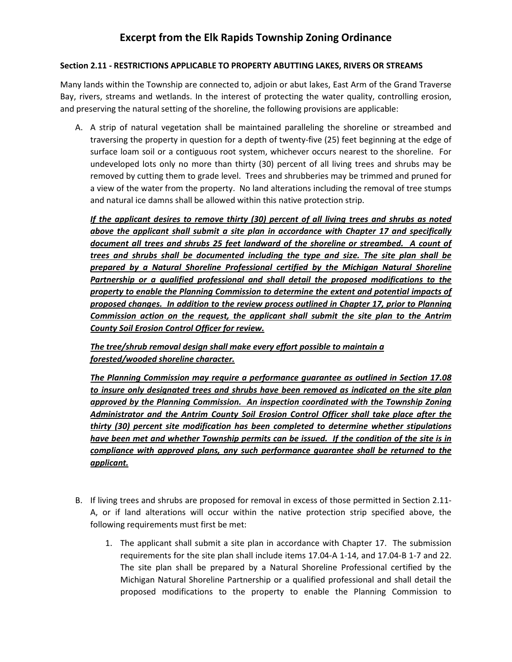## Excerpt from the Elk Rapids Township Zoning Ordinance

## Section 2.11 - RESTRICTIONS APPLICABLE TO PROPERTY ABUTTING LAKES, RIVERS OR STREAMS

Many lands within the Township are connected to, adjoin or abut lakes, East Arm of the Grand Traverse Bay, rivers, streams and wetlands. In the interest of protecting the water quality, controlling erosion, and preserving the natural setting of the shoreline, the following provisions are applicable:

A. A strip of natural vegetation shall be maintained paralleling the shoreline or streambed and traversing the property in question for a depth of twenty-five (25) feet beginning at the edge of surface loam soil or a contiguous root system, whichever occurs nearest to the shoreline. For undeveloped lots only no more than thirty (30) percent of all living trees and shrubs may be removed by cutting them to grade level. Trees and shrubberies may be trimmed and pruned for a view of the water from the property. No land alterations including the removal of tree stumps and natural ice damns shall be allowed within this native protection strip.

If the applicant desires to remove thirty (30) percent of all living trees and shrubs as noted above the applicant shall submit a site plan in accordance with Chapter 17 and specifically document all trees and shrubs 25 feet landward of the shoreline or streambed. A count of trees and shrubs shall be documented including the type and size. The site plan shall be prepared by a Natural Shoreline Professional certified by the Michigan Natural Shoreline Partnership or a qualified professional and shall detail the proposed modifications to the property to enable the Planning Commission to determine the extent and potential impacts of proposed changes. In addition to the review process outlined in Chapter 17, prior to Planning Commission action on the request, the applicant shall submit the site plan to the Antrim County Soil Erosion Control Officer for review.

The tree/shrub removal design shall make every effort possible to maintain a forested/wooded shoreline character.

The Planning Commission may require a performance guarantee as outlined in Section 17.08 to insure only designated trees and shrubs have been removed as indicated on the site plan approved by the Planning Commission. An inspection coordinated with the Township Zoning Administrator and the Antrim County Soil Erosion Control Officer shall take place after the thirty (30) percent site modification has been completed to determine whether stipulations have been met and whether Township permits can be issued. If the condition of the site is in compliance with approved plans, any such performance guarantee shall be returned to the applicant.

- B. If living trees and shrubs are proposed for removal in excess of those permitted in Section 2.11- A, or if land alterations will occur within the native protection strip specified above, the following requirements must first be met:
	- 1. The applicant shall submit a site plan in accordance with Chapter 17. The submission requirements for the site plan shall include items 17.04-A 1-14, and 17.04-B 1-7 and 22. The site plan shall be prepared by a Natural Shoreline Professional certified by the Michigan Natural Shoreline Partnership or a qualified professional and shall detail the proposed modifications to the property to enable the Planning Commission to